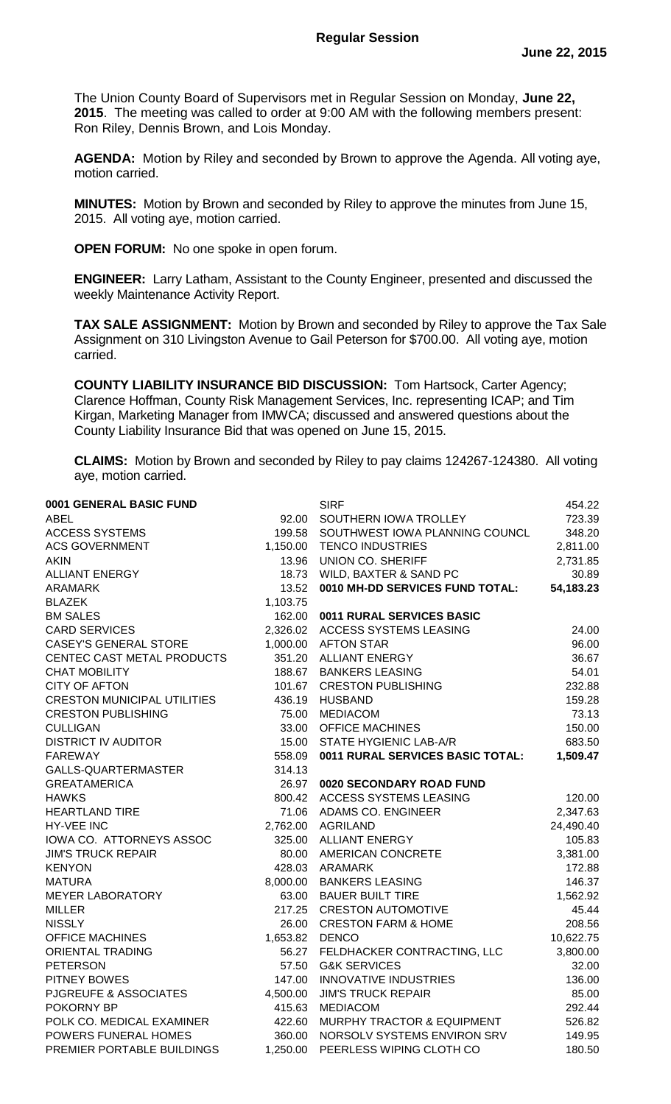The Union County Board of Supervisors met in Regular Session on Monday, **June 22, 2015**. The meeting was called to order at 9:00 AM with the following members present: Ron Riley, Dennis Brown, and Lois Monday.

**AGENDA:** Motion by Riley and seconded by Brown to approve the Agenda. All voting aye, motion carried.

**MINUTES:** Motion by Brown and seconded by Riley to approve the minutes from June 15, 2015. All voting aye, motion carried.

**OPEN FORUM:** No one spoke in open forum.

**ENGINEER:** Larry Latham, Assistant to the County Engineer, presented and discussed the weekly Maintenance Activity Report.

**TAX SALE ASSIGNMENT:** Motion by Brown and seconded by Riley to approve the Tax Sale Assignment on 310 Livingston Avenue to Gail Peterson for \$700.00. All voting aye, motion carried.

**COUNTY LIABILITY INSURANCE BID DISCUSSION:** Tom Hartsock, Carter Agency; Clarence Hoffman, County Risk Management Services, Inc. representing ICAP; and Tim Kirgan, Marketing Manager from IMWCA; discussed and answered questions about the County Liability Insurance Bid that was opened on June 15, 2015.

**CLAIMS:** Motion by Brown and seconded by Riley to pay claims 124267-124380. All voting aye, motion carried.

| 0001 GENERAL BASIC FUND            |                | <b>SIRF</b>                           | 454.22    |
|------------------------------------|----------------|---------------------------------------|-----------|
| <b>ABEL</b>                        |                | 92.00 SOUTHERN IOWA TROLLEY           | 723.39    |
| <b>ACCESS SYSTEMS</b>              |                | 199.58 SOUTHWEST IOWA PLANNING COUNCL | 348.20    |
| <b>ACS GOVERNMENT</b>              | 1,150.00       | <b>TENCO INDUSTRIES</b>               | 2,811.00  |
| <b>AKIN</b>                        | 13.96          | <b>UNION CO. SHERIFF</b>              | 2,731.85  |
| <b>ALLIANT ENERGY</b>              | 18.73          | WILD, BAXTER & SAND PC                | 30.89     |
| <b>ARAMARK</b>                     | 13.52          | 0010 MH-DD SERVICES FUND TOTAL:       | 54,183.23 |
| <b>BLAZEK</b>                      | 1,103.75       |                                       |           |
| <b>BM SALES</b>                    |                | 162.00 0011 RURAL SERVICES BASIC      |           |
| <b>CARD SERVICES</b>               |                | 2,326.02 ACCESS SYSTEMS LEASING       | 24.00     |
| <b>CASEY'S GENERAL STORE</b>       |                | 1,000.00 AFTON STAR                   | 96.00     |
| CENTEC CAST METAL PRODUCTS         |                | 351.20 ALLIANT ENERGY                 | 36.67     |
| <b>CHAT MOBILITY</b>               | 188.67         | <b>BANKERS LEASING</b>                | 54.01     |
| <b>CITY OF AFTON</b>               | 101.67         | <b>CRESTON PUBLISHING</b>             | 232.88    |
| <b>CRESTON MUNICIPAL UTILITIES</b> | 436.19         | <b>HUSBAND</b>                        | 159.28    |
| <b>CRESTON PUBLISHING</b>          | 75.00          | <b>MEDIACOM</b>                       | 73.13     |
| <b>CULLIGAN</b>                    |                | 33.00 OFFICE MACHINES                 | 150.00    |
| <b>DISTRICT IV AUDITOR</b>         |                | 15.00 STATE HYGIENIC LAB-A/R          | 683.50    |
| <b>FAREWAY</b>                     | 558.09         | 0011 RURAL SERVICES BASIC TOTAL:      | 1,509.47  |
| GALLS-QUARTERMASTER                | 314.13         |                                       |           |
| <b>GREATAMERICA</b>                | 26.97          | 0020 SECONDARY ROAD FUND              |           |
| <b>HAWKS</b>                       | 800.42         | ACCESS SYSTEMS LEASING                | 120.00    |
| <b>HEARTLAND TIRE</b>              |                | 71.06 ADAMS CO. ENGINEER              | 2,347.63  |
| HY-VEE INC                         |                | 2,762.00 AGRILAND                     | 24,490.40 |
| IOWA CO. ATTORNEYS ASSOC           |                | 325.00 ALLIANT ENERGY                 | 105.83    |
| <b>JIM'S TRUCK REPAIR</b>          |                | 80.00 AMERICAN CONCRETE               | 3,381.00  |
| <b>KENYON</b>                      |                | 428.03 ARAMARK                        | 172.88    |
| <b>MATURA</b>                      | 8,000.00       | <b>BANKERS LEASING</b>                | 146.37    |
| <b>MEYER LABORATORY</b>            | 63.00          | <b>BAUER BUILT TIRE</b>               | 1,562.92  |
| <b>MILLER</b>                      | 217.25         | <b>CRESTON AUTOMOTIVE</b>             | 45.44     |
| <b>NISSLY</b>                      |                | 26.00 CRESTON FARM & HOME             | 208.56    |
| <b>OFFICE MACHINES</b>             | 1,653.82 DENCO |                                       | 10,622.75 |
| <b>ORIENTAL TRADING</b>            |                | 56.27 FELDHACKER CONTRACTING, LLC     | 3,800.00  |
| <b>PETERSON</b>                    |                | 57.50 G&K SERVICES                    | 32.00     |
| PITNEY BOWES                       | 147.00         | <b>INNOVATIVE INDUSTRIES</b>          | 136.00    |
| PJGREUFE & ASSOCIATES              | 4,500.00       | <b>JIM'S TRUCK REPAIR</b>             | 85.00     |
| POKORNY BP                         | 415.63         | <b>MEDIACOM</b>                       | 292.44    |
| POLK CO. MEDICAL EXAMINER          | 422.60         | MURPHY TRACTOR & EQUIPMENT            | 526.82    |
| POWERS FUNERAL HOMES               | 360.00         | NORSOLV SYSTEMS ENVIRON SRV           | 149.95    |
| PREMIER PORTABLE BUILDINGS         | 1,250.00       | PEERLESS WIPING CLOTH CO              | 180.50    |